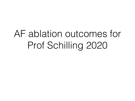## AF ablation outcomes for Prof Schilling 2020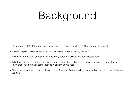# Background

- During much of 2020 I was working to support ITU services while COVID crisis was at its worst
- Private hospitals also diverted much of their resource to supporting the NHS
- I did a limited number of patients in a new day surgery facility at Welbeck Heart health
- I did fewer cases at London bridge and they have not been able to give me my outcome figures although I know that I had no major complications in either site this year
- The figures therefore only show the outcome of patients first procedure because I only do first time ablation at Welbeck.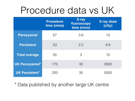### Procedure data vs UK

|                       | <b>Procedure</b><br>time (mins) | X-ray<br>fluoroscopy<br>time (mins) | <b>X-ray dose</b><br>(cGy) |
|-----------------------|---------------------------------|-------------------------------------|----------------------------|
| Paroxysmal            | 57                              | 3.6                                 | 13                         |
| <b>Persistent</b>     | 53                              | 2.2                                 | 8.6                        |
| <b>Total average</b>  | 55                              | 3                                   | 10                         |
| <b>UK Paroxysmal*</b> | 173                             | 33                                  | 3500                       |
| <b>UK Persistent*</b> | 22C                             | 35                                  | 5000                       |

\* Data published by another large UK centre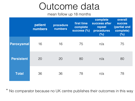### Outcome data

mean follow up 18 months

|                   | patient<br>numbers | procedure<br>numbers | first time<br>complete<br><b>SUCCESS (%)</b> | complete<br>success after<br>repeat<br>procedures<br>(% ) | overall<br><b>SUCCES</b><br>(partial and<br>complete)<br>(% ) |
|-------------------|--------------------|----------------------|----------------------------------------------|-----------------------------------------------------------|---------------------------------------------------------------|
| Paroxysmal        | 16                 | 16                   | 75                                           | n/a                                                       | 75                                                            |
| <b>Persistent</b> | 20                 | 20                   | 80                                           | n/a                                                       | 80                                                            |
| <b>Total</b>      | 36                 | 36                   | 78                                           | n/a                                                       | 78                                                            |

\* No comparator because no UK centre publishes their outcomes in this way